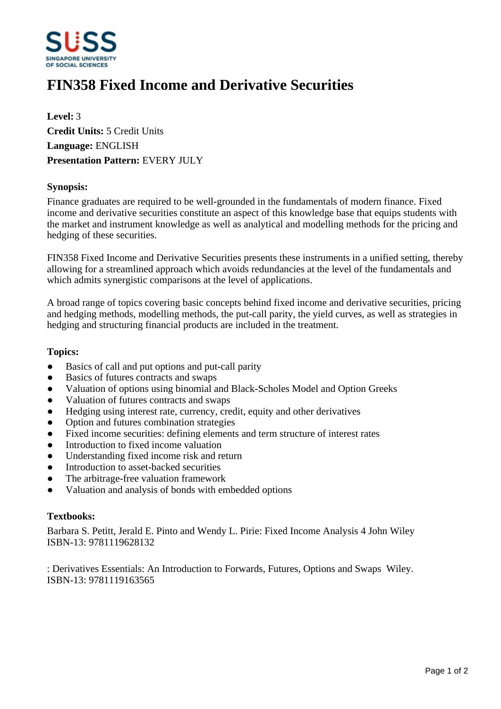

# **FIN358 Fixed Income and Derivative Securities**

**Level:** 3 **Credit Units:** 5 Credit Units **Language:** ENGLISH **Presentation Pattern:** EVERY JULY

### **Synopsis:**

Finance graduates are required to be well-grounded in the fundamentals of modern finance. Fixed income and derivative securities constitute an aspect of this knowledge base that equips students with the market and instrument knowledge as well as analytical and modelling methods for the pricing and hedging of these securities.

FIN358 Fixed Income and Derivative Securities presents these instruments in a unified setting, thereby allowing for a streamlined approach which avoids redundancies at the level of the fundamentals and which admits synergistic comparisons at the level of applications.

A broad range of topics covering basic concepts behind fixed income and derivative securities, pricing and hedging methods, modelling methods, the put-call parity, the yield curves, as well as strategies in hedging and structuring financial products are included in the treatment.

#### **Topics:**

- Basics of call and put options and put-call parity
- Basics of futures contracts and swaps
- ƔValuation of options using binomial and Black-Scholes Model and Option Greeks
- Valuation of futures contracts and swaps
- Hedging using interest rate, currency, credit, equity and other derivatives
- Option and futures combination strategies
- Fixed income securities: defining elements and term structure of interest rates
- Introduction to fixed income valuation
- Understanding fixed income risk and return
- Introduction to asset-backed securities
- The arbitrage-free valuation framework
- ƔValuation and analysis of bonds with embedded options

# **Textbooks:**

Barbara S. Petitt, Jerald E. Pinto and Wendy L. Pirie: Fixed Income Analysis 4 John Wiley ISBN-13: 9781119628132

: Derivatives Essentials: An Introduction to Forwards, Futures, Options and Swaps Wiley. ISBN-13: 9781119163565